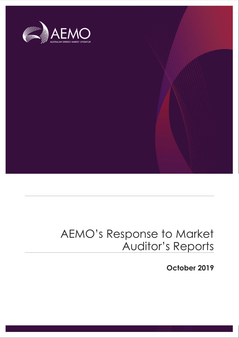

### AEMO's Response to Market Auditor's Reports

**October 2019**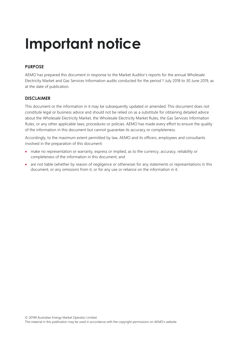## **Important notice**

#### **PURPOSE**

AEMO has prepared this document in response to the Market Auditor's reports for the annual Wholesale Electricity Market and Gas Services Information audits conducted for the period 1 July 2018 to 30 June 2019, as at the date of publication.

#### **DISCLAIMER**

This document or the information in it may be subsequently updated or amended. This document does not constitute legal or business advice and should not be relied on as a substitute for obtaining detailed advice about the Wholesale Electricity Market, the Wholesale Electricity Market Rules, the Gas Services Information Rules, or any other applicable laws, procedures or policies. AEMO has made every effort to ensure the quality of the information in this document but cannot guarantee its accuracy or completeness.

Accordingly, to the maximum extent permitted by law, AEMO and its officers, employees and consultants involved in the preparation of this document:

- make no representation or warranty, express or implied, as to the currency, accuracy, reliability or completeness of the information in this document; and
- are not liable (whether by reason of negligence or otherwise) for any statements or representations in this document, or any omissions from it, or for any use or reliance on the information in it.